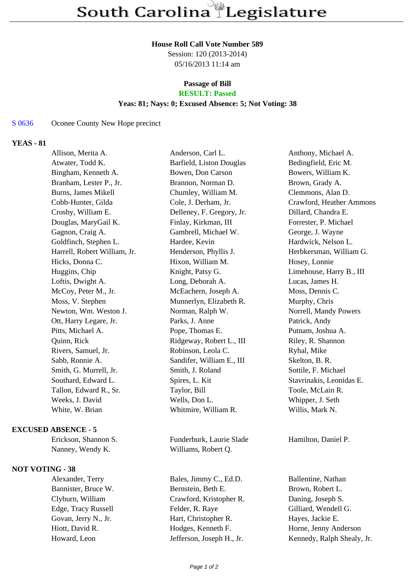### **House Roll Call Vote Number 589**

Session: 120 (2013-2014) 05/16/2013 11:14 am

## **Passage of Bill RESULT: Passed**

# **Yeas: 81; Nays: 0; Excused Absence: 5; Not Voting: 38**

#### S 0636 Oconee County New Hope precinct

## **YEAS - 81**

| Allison, Merita A.           | Anderson, Carl L.         | Anthony, Michael A.      |
|------------------------------|---------------------------|--------------------------|
| Atwater, Todd K.             | Barfield, Liston Douglas  | Bedingfield, Eric M.     |
| Bingham, Kenneth A.          | Bowen, Don Carson         | Bowers, William K.       |
| Branham, Lester P., Jr.      | Brannon, Norman D.        | Brown, Grady A.          |
| Burns, James Mikell          | Chumley, William M.       | Clemmons, Alan D.        |
| Cobb-Hunter, Gilda           | Cole, J. Derham, Jr.      | Crawford, Heather Ammons |
| Crosby, William E.           | Delleney, F. Gregory, Jr. | Dillard, Chandra E.      |
| Douglas, MaryGail K.         | Finlay, Kirkman, III      | Forrester, P. Michael    |
| Gagnon, Craig A.             | Gambrell, Michael W.      | George, J. Wayne         |
| Goldfinch, Stephen L.        | Hardee, Kevin             | Hardwick, Nelson L.      |
| Harrell, Robert William, Jr. | Henderson, Phyllis J.     | Herbkersman, William G.  |
| Hicks, Donna C.              | Hixon, William M.         | Hosey, Lonnie            |
| Huggins, Chip                | Knight, Patsy G.          | Limehouse, Harry B., III |
| Loftis, Dwight A.            | Long, Deborah A.          | Lucas, James H.          |
| McCoy, Peter M., Jr.         | McEachern, Joseph A.      | Moss, Dennis C.          |
| Moss, V. Stephen             | Munnerlyn, Elizabeth R.   | Murphy, Chris            |
| Newton, Wm. Weston J.        | Norman, Ralph W.          | Norrell, Mandy Powers    |
| Ott, Harry Legare, Jr.       | Parks, J. Anne            | Patrick, Andy            |
| Pitts, Michael A.            | Pope, Thomas E.           | Putnam, Joshua A.        |
| Quinn, Rick                  | Ridgeway, Robert L., III  | Riley, R. Shannon        |
| Rivers, Samuel, Jr.          | Robinson, Leola C.        | Ryhal, Mike              |
| Sabb, Ronnie A.              | Sandifer, William E., III | Skelton, B. R.           |
| Smith, G. Murrell, Jr.       | Smith, J. Roland          | Sottile, F. Michael      |
| Southard, Edward L.          | Spires, L. Kit            | Stavrinakis, Leonidas E. |
| Tallon, Edward R., Sr.       | Taylor, Bill              | Toole, McLain R.         |
| Weeks, J. David              | Wells, Don L.             | Whipper, J. Seth         |
| White, W. Brian              | Whitmire, William R.      | Willis, Mark N.          |
| <b>EXCUSED ABSENCE - 5</b>   |                           |                          |
| Erickson, Shannon S.         | Funderburk, Laurie Slade  | Hamilton, Daniel P.      |

Nanney, Wendy K. Williams, Robert Q.

## **NOT VOTING - 38**

Bannister, Bruce W. Bernstein, Beth E. Brown, Robert L. Clyburn, William Crawford, Kristopher R. Daning, Joseph S. Edge, Tracy Russell Felder, R. Raye Gilliard, Wendell G. Govan, Jerry N., Jr. Hart, Christopher R. Hayes, Jackie E. Hiott, David R. **Hottless**, Kenneth F. **Horne, Jenny Anderson** Howard, Leon Jefferson, Joseph H., Jr. Kennedy, Ralph Shealy, Jr.

Alexander, Terry Bales, Jimmy C., Ed.D. Ballentine, Nathan